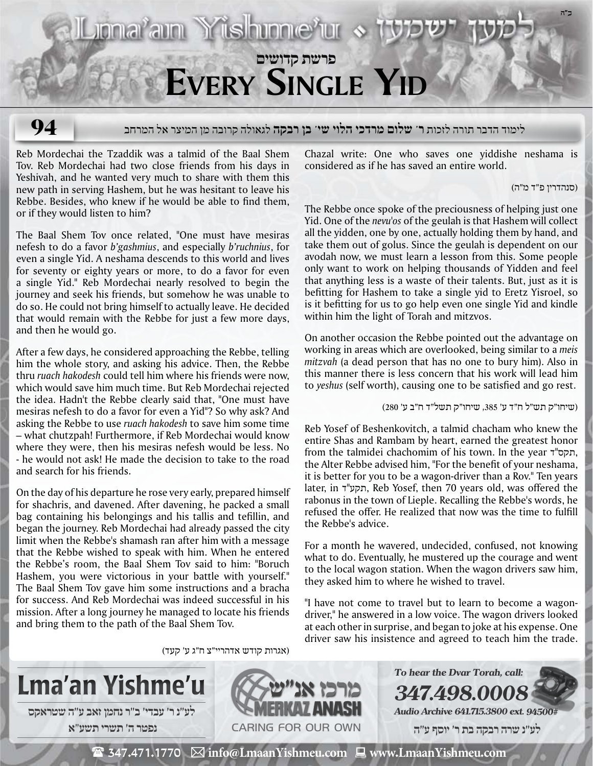

# **94**

## לימוד הדבר תורה לזכות **ר' שלום מרדכי הלוי שי' בן רבקה** לגאולה קרובה מן המיצר אל המרחב

Reb Mordechai the Tzaddik was a talmid of the Baal Shem Tov. Reb Mordechai had two close friends from his days in Yeshivah, and he wanted very much to share with them this new path in serving Hashem, but he was hesitant to leave his Rebbe. Besides, who knew if he would be able to find them, or if they would listen to him?

The Baal Shem Tov once related, "One must have mesiras nefesh to do a favor *b'gashmius*, and especially *b'ruchnius*, for even a single Yid. A neshama descends to this world and lives for seventy or eighty years or more, to do a favor for even a single Yid." Reb Mordechai nearly resolved to begin the journey and seek his friends, but somehow he was unable to do so. He could not bring himself to actually leave. He decided that would remain with the Rebbe for just a few more days, and then he would go.

After a few days, he considered approaching the Rebbe, telling him the whole story, and asking his advice. Then, the Rebbe thru *ruach hakodesh* could tell him where his friends were now, which would save him much time. But Reb Mordechai rejected the idea. Hadn't the Rebbe clearly said that, "One must have mesiras nefesh to do a favor for even a Yid"? So why ask? And asking the Rebbe to use *ruach hakodesh* to save him some time – what chutzpah! Furthermore, if Reb Mordechai would know where they were, then his mesiras nefesh would be less. No - he would not ask! He made the decision to take to the road and search for his friends.

On the day of his departure he rose very early, prepared himself for shachris, and davened. After davening, he packed a small bag containing his belongings and his tallis and tefillin, and began the journey. Reb Mordechai had already passed the city limit when the Rebbe's shamash ran after him with a message that the Rebbe wished to speak with him. When he entered the Rebbe's room, the Baal Shem Tov said to him: "Boruch Hashem, you were victorious in your battle with yourself." The Baal Shem Tov gave him some instructions and a bracha for success. And Reb Mordechai was indeed successful in his mission. After a long journey he managed to locate his friends and bring them to the path of the Baal Shem Tov.

Chazal write: One who saves one yiddishe neshama is considered as if he has saved an entire world.

#### (סנהדרין פ"ד מ"ה)

The Rebbe once spoke of the preciousness of helping just one Yid. One of the *nevu'os* of the geulah is that Hashem will collect all the yidden, one by one, actually holding them by hand, and take them out of golus. Since the geulah is dependent on our avodah now, we must learn a lesson from this. Some people only want to work on helping thousands of Yidden and feel that anything less is a waste of their talents. But, just as it is befitting for Hashem to take a single yid to Eretz Yisroel, so is it befitting for us to go help even one single Yid and kindle within him the light of Torah and mitzvos.

On another occasion the Rebbe pointed out the advantage on working in areas which are overlooked, being similar to a *meis mitzvah* (a dead person that has no one to bury him). Also in this manner there is less concern that his work will lead him to *yeshus* (self worth), causing one to be satisfied and go rest.

(שיחו"ק תש"ל ח"ד ע' ,385 שיחו"ק תשל"ד ח"ב ע' 280)

Reb Yosef of Beshenkovitch, a talmid chacham who knew the entire Shas and Rambam by heart, earned the greatest honor from the talmidei chachomim of his town. In the year חקס"ד, the Alter Rebbe advised him, "For the benefit of your neshama, it is better for you to be a wagon-driver than a Rov." Ten years later, in תקע"ד, Reb Yosef, then 70 years old, was offered the rabonus in the town of Lieple. Recalling the Rebbe's words, he refused the offer. He realized that now was the time to fulfill the Rebbe's advice.

For a month he wavered, undecided, confused, not knowing what to do. Eventually, he mustered up the courage and went to the local wagon station. When the wagon drivers saw him, they asked him to where he wished to travel.

"I have not come to travel but to learn to become a wagondriver," he answered in a low voice. The wagon drivers looked at each other in surprise, and began to joke at his expense. One driver saw his insistence and agreed to teach him the trade.

(אגרות קודש אדהריי"צ ח"ג ע' קעד)





**347.498.0008 Audio Archive 641.715.3800 ext. 94500#**

 **לע"נ שרה רבקה בת ר׳ יוסף ע"ה**

 $\mathbf{\mathcal{F}}$  347.471.1770  $\ \boxtimes$  info@LmaanYishmeu.com  $\ \blacksquare$  www.LmaanYishmeu.com